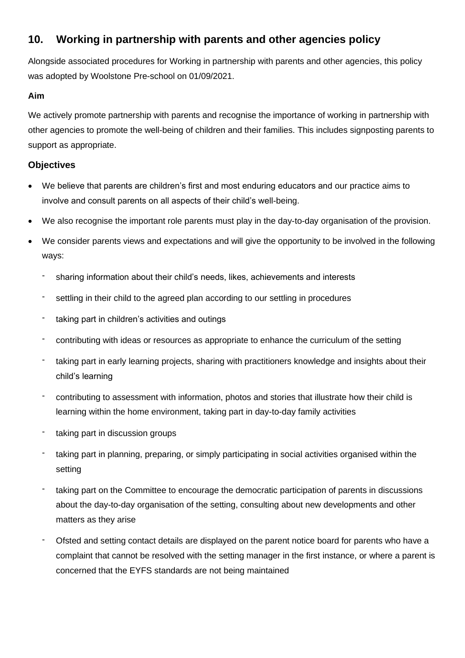# **10. Working in partnership with parents and other agencies policy**

Alongside associated procedures for Working in partnership with parents and other agencies, this policy was adopted by Woolstone Pre-school on 01/09/2021.

## **Aim**

We actively promote partnership with parents and recognise the importance of working in partnership with other agencies to promote the well-being of children and their families. This includes signposting parents to support as appropriate.

## **Objectives**

- We believe that parents are children's first and most enduring educators and our practice aims to involve and consult parents on all aspects of their child's well-being.
- We also recognise the important role parents must play in the day-to-day organisation of the provision.
- We consider parents views and expectations and will give the opportunity to be involved in the following ways:
	- sharing information about their child's needs, likes, achievements and interests
	- settling in their child to the agreed plan according to our settling in procedures
	- taking part in children's activities and outings
	- contributing with ideas or resources as appropriate to enhance the curriculum of the setting
	- taking part in early learning projects, sharing with practitioners knowledge and insights about their child's learning
	- contributing to assessment with information, photos and stories that illustrate how their child is learning within the home environment, taking part in day-to-day family activities
	- taking part in discussion groups
	- taking part in planning, preparing, or simply participating in social activities organised within the setting
	- taking part on the Committee to encourage the democratic participation of parents in discussions about the day-to-day organisation of the setting, consulting about new developments and other matters as they arise
	- Ofsted and setting contact details are displayed on the parent notice board for parents who have a complaint that cannot be resolved with the setting manager in the first instance, or where a parent is concerned that the EYFS standards are not being maintained